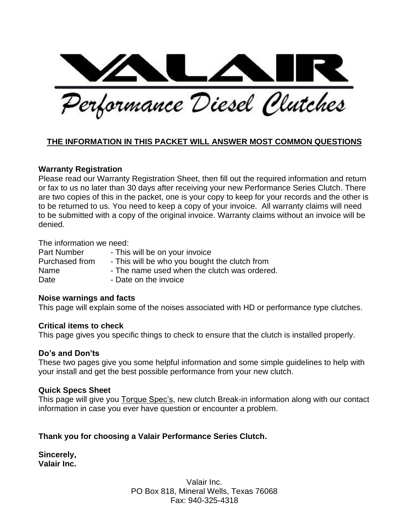Performance Diesel Clutches

#### **THE INFORMATION IN THIS PACKET WILL ANSWER MOST COMMON QUESTIONS**

#### **Warranty Registration**

Please read our Warranty Registration Sheet, then fill out the required information and return or fax to us no later than 30 days after receiving your new Performance Series Clutch. There are two copies of this in the packet, one is your copy to keep for your records and the other is to be returned to us. You need to keep a copy of your invoice. All warranty claims will need to be submitted with a copy of the original invoice. Warranty claims without an invoice will be denied.

The information we need:

Part Number - This will be on your invoice Purchased from - This will be who you bought the clutch from Name  $\blacksquare$  - The name used when the clutch was ordered. Date **Date on the invoice** 

#### **Noise warnings and facts**

This page will explain some of the noises associated with HD or performance type clutches.

#### **Critical items to check**

This page gives you specific things to check to ensure that the clutch is installed properly.

#### **Do's and Don'ts**

These two pages give you some helpful information and some simple guidelines to help with your install and get the best possible performance from your new clutch.

#### **Quick Specs Sheet**

This page will give you Torque Spec's, new clutch Break-in information along with our contact information in case you ever have question or encounter a problem.

#### **Thank you for choosing a Valair Performance Series Clutch.**

**Sincerely, Valair Inc.**

> Valair Inc. PO Box 818, Mineral Wells, Texas 76068 Fax: 940-325-4318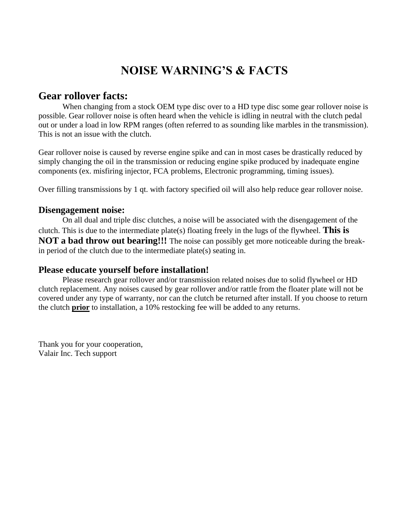### **NOISE WARNING'S & FACTS**

#### **Gear rollover facts:**

When changing from a stock OEM type disc over to a HD type disc some gear rollover noise is possible. Gear rollover noise is often heard when the vehicle is idling in neutral with the clutch pedal out or under a load in low RPM ranges (often referred to as sounding like marbles in the transmission). This is not an issue with the clutch.

Gear rollover noise is caused by reverse engine spike and can in most cases be drastically reduced by simply changing the oil in the transmission or reducing engine spike produced by inadequate engine components (ex. misfiring injector, FCA problems, Electronic programming, timing issues).

Over filling transmissions by 1 qt. with factory specified oil will also help reduce gear rollover noise.

#### **Disengagement noise:**

On all dual and triple disc clutches, a noise will be associated with the disengagement of the clutch. This is due to the intermediate plate(s) floating freely in the lugs of the flywheel. **This is NOT a bad throw out bearing!!!** The noise can possibly get more noticeable during the breakin period of the clutch due to the intermediate plate(s) seating in.

#### **Please educate yourself before installation!**

Please research gear rollover and/or transmission related noises due to solid flywheel or HD clutch replacement. Any noises caused by gear rollover and/or rattle from the floater plate will not be covered under any type of warranty, nor can the clutch be returned after install. If you choose to return the clutch **prior** to installation, a 10% restocking fee will be added to any returns.

Thank you for your cooperation, Valair Inc. Tech support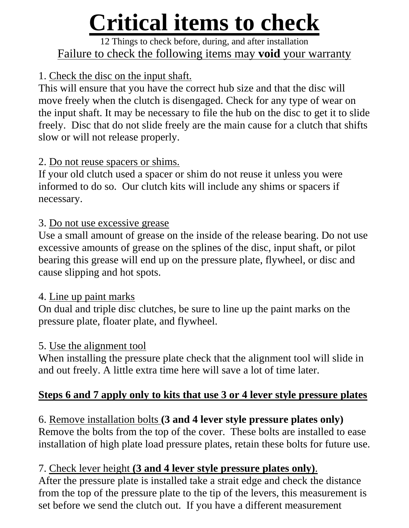# **Critical items to check**

### 12 Things to check before, during, and after installation Failure to check the following items may **void** your warranty

### 1. Check the disc on the input shaft.

This will ensure that you have the correct hub size and that the disc will move freely when the clutch is disengaged. Check for any type of wear on the input shaft. It may be necessary to file the hub on the disc to get it to slide freely. Disc that do not slide freely are the main cause for a clutch that shifts slow or will not release properly.

### 2. Do not reuse spacers or shims.

If your old clutch used a spacer or shim do not reuse it unless you were informed to do so. Our clutch kits will include any shims or spacers if necessary.

### 3. Do not use excessive grease

Use a small amount of grease on the inside of the release bearing. Do not use excessive amounts of grease on the splines of the disc, input shaft, or pilot bearing this grease will end up on the pressure plate, flywheel, or disc and cause slipping and hot spots.

### 4. Line up paint marks

On dual and triple disc clutches, be sure to line up the paint marks on the pressure plate, floater plate, and flywheel.

### 5. Use the alignment tool

When installing the pressure plate check that the alignment tool will slide in and out freely. A little extra time here will save a lot of time later.

### **Steps 6 and 7 apply only to kits that use 3 or 4 lever style pressure plates**

6. Remove installation bolts **(3 and 4 lever style pressure plates only)** Remove the bolts from the top of the cover. These bolts are installed to ease installation of high plate load pressure plates, retain these bolts for future use.

### 7. Check lever height **(3 and 4 lever style pressure plates only)**.

After the pressure plate is installed take a strait edge and check the distance from the top of the pressure plate to the tip of the levers, this measurement is set before we send the clutch out. If you have a different measurement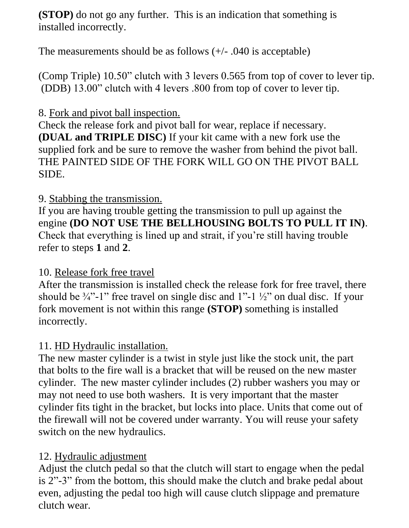**(STOP)** do not go any further. This is an indication that something is installed incorrectly.

The measurements should be as follows  $(+/- .040$  is acceptable)

(Comp Triple) 10.50" clutch with 3 levers 0.565 from top of cover to lever tip. (DDB) 13.00" clutch with 4 levers .800 from top of cover to lever tip.

### 8. Fork and pivot ball inspection.

Check the release fork and pivot ball for wear, replace if necessary. **(DUAL and TRIPLE DISC)** If your kit came with a new fork use the supplied fork and be sure to remove the washer from behind the pivot ball. THE PAINTED SIDE OF THE FORK WILL GO ON THE PIVOT BALL SIDE.

### 9. Stabbing the transmission.

If you are having trouble getting the transmission to pull up against the engine **(DO NOT USE THE BELLHOUSING BOLTS TO PULL IT IN)**. Check that everything is lined up and strait, if you're still having trouble refer to steps **1** and **2**.

### 10. Release fork free travel

After the transmission is installed check the release fork for free travel, there should be  $\frac{3}{4}$ . 1" free travel on single disc and 1"-1  $\frac{1}{2}$ " on dual disc. If your fork movement is not within this range **(STOP)** something is installed incorrectly.

### 11. HD Hydraulic installation.

The new master cylinder is a twist in style just like the stock unit, the part that bolts to the fire wall is a bracket that will be reused on the new master cylinder. The new master cylinder includes (2) rubber washers you may or may not need to use both washers. It is very important that the master cylinder fits tight in the bracket, but locks into place. Units that come out of the firewall will not be covered under warranty. You will reuse your safety switch on the new hydraulics.

### 12. Hydraulic adjustment

Adjust the clutch pedal so that the clutch will start to engage when the pedal is 2"-3" from the bottom, this should make the clutch and brake pedal about even, adjusting the pedal too high will cause clutch slippage and premature clutch wear.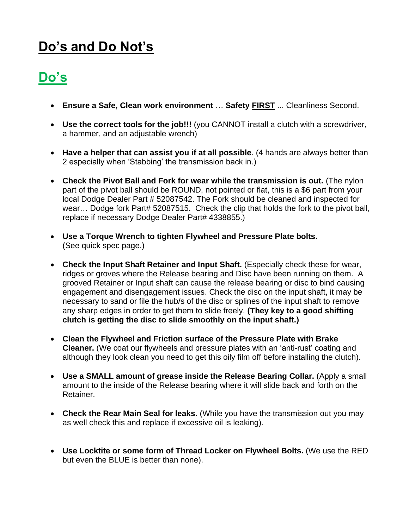### **Do's and Do Not's**

## **Do's**

- **Ensure a Safe, Clean work environment** … **Safety FIRST** ... Cleanliness Second.
- **Use the correct tools for the job!!!** (you CANNOT install a clutch with a screwdriver, a hammer, and an adjustable wrench)
- **Have a helper that can assist you if at all possible**. (4 hands are always better than 2 especially when 'Stabbing' the transmission back in.)
- **Check the Pivot Ball and Fork for wear while the transmission is out.** (The nylon part of the pivot ball should be ROUND, not pointed or flat, this is a \$6 part from your local Dodge Dealer Part # 52087542. The Fork should be cleaned and inspected for wear... Dodge fork Part# 52087515. Check the clip that holds the fork to the pivot ball, replace if necessary Dodge Dealer Part# 4338855.)
- **Use a Torque Wrench to tighten Flywheel and Pressure Plate bolts.**  (See quick spec page.)
- **Check the Input Shaft Retainer and Input Shaft.** (Especially check these for wear, ridges or groves where the Release bearing and Disc have been running on them. A grooved Retainer or Input shaft can cause the release bearing or disc to bind causing engagement and disengagement issues. Check the disc on the input shaft, it may be necessary to sand or file the hub/s of the disc or splines of the input shaft to remove any sharp edges in order to get them to slide freely. **(They key to a good shifting clutch is getting the disc to slide smoothly on the input shaft.)**
- **Clean the Flywheel and Friction surface of the Pressure Plate with Brake Cleaner.** (We coat our flywheels and pressure plates with an 'anti-rust' coating and although they look clean you need to get this oily film off before installing the clutch).
- **Use a SMALL amount of grease inside the Release Bearing Collar.** (Apply a small amount to the inside of the Release bearing where it will slide back and forth on the Retainer.
- **Check the Rear Main Seal for leaks.** (While you have the transmission out you may as well check this and replace if excessive oil is leaking).
- **Use Locktite or some form of Thread Locker on Flywheel Bolts.** (We use the RED but even the BLUE is better than none).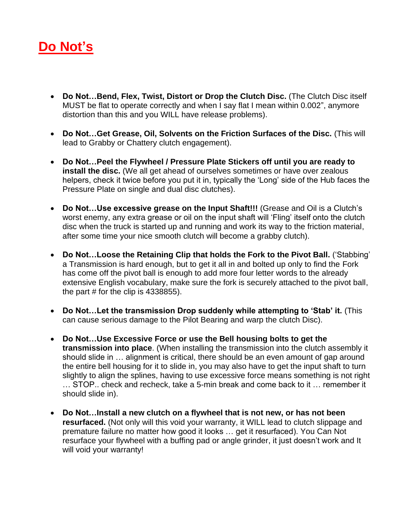### **Do Not's**

- **Do Not…Bend, Flex, Twist, Distort or Drop the Clutch Disc.** (The Clutch Disc itself MUST be flat to operate correctly and when I say flat I mean within 0.002", anymore distortion than this and you WILL have release problems).
- **Do Not…Get Grease, Oil, Solvents on the Friction Surfaces of the Disc.** (This will lead to Grabby or Chattery clutch engagement).
- **Do Not…Peel the Flywheel / Pressure Plate Stickers off until you are ready to install the disc.** (We all get ahead of ourselves sometimes or have over zealous helpers, check it twice before you put it in, typically the 'Long' side of the Hub faces the Pressure Plate on single and dual disc clutches).
- **Do Not…Use excessive grease on the Input Shaft!!!** (Grease and Oil is a Clutch's worst enemy, any extra grease or oil on the input shaft will 'Fling' itself onto the clutch disc when the truck is started up and running and work its way to the friction material, after some time your nice smooth clutch will become a grabby clutch).
- **Do Not…Loose the Retaining Clip that holds the Fork to the Pivot Ball.** ('Stabbing' a Transmission is hard enough, but to get it all in and bolted up only to find the Fork has come off the pivot ball is enough to add more four letter words to the already extensive English vocabulary, make sure the fork is securely attached to the pivot ball, the part  $#$  for the clip is 4338855).
- **Do Not…Let the transmission Drop suddenly while attempting to 'Stab' it.** (This can cause serious damage to the Pilot Bearing and warp the clutch Disc).
- **Do Not…Use Excessive Force or use the Bell housing bolts to get the transmission into place**. (When installing the transmission into the clutch assembly it should slide in … alignment is critical, there should be an even amount of gap around the entire bell housing for it to slide in, you may also have to get the input shaft to turn slightly to align the splines, having to use excessive force means something is not right … STOP.. check and recheck, take a 5-min break and come back to it … remember it should slide in).
- **Do Not…Install a new clutch on a flywheel that is not new, or has not been resurfaced.** (Not only will this void your warranty, it WILL lead to clutch slippage and premature failure no matter how good it looks … get it resurfaced). You Can Not resurface your flywheel with a buffing pad or angle grinder, it just doesn't work and It will void your warranty!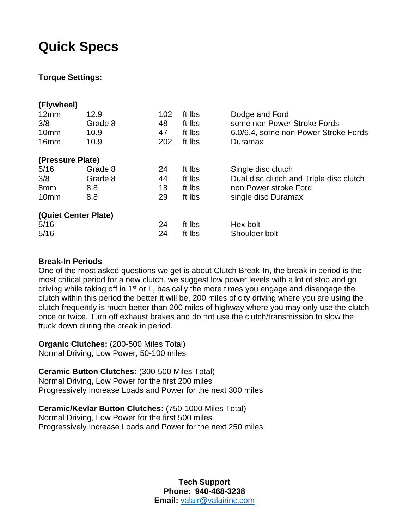### **Quick Specs**

#### **Torque Settings:**

| (Flywheel)       |                      |     |        |                                         |
|------------------|----------------------|-----|--------|-----------------------------------------|
| 12mm             | 12.9                 | 102 | ft Ibs | Dodge and Ford                          |
| 3/8              | Grade 8              | 48  | ft lbs | some non Power Stroke Fords             |
| 10 <sub>mm</sub> | 10.9                 | 47  | ft lbs | 6.0/6.4, some non Power Stroke Fords    |
| 16 <sub>mm</sub> | 10.9                 | 202 | ft lbs | Duramax                                 |
| (Pressure Plate) |                      |     |        |                                         |
| 5/16             | Grade 8              | 24  | ft Ibs | Single disc clutch                      |
| 3/8              | Grade 8              | 44  | ft lbs | Dual disc clutch and Triple disc clutch |
| 8 <sub>mm</sub>  | 8.8                  | 18  | ft lbs | non Power stroke Ford                   |
| 10 <sub>mm</sub> | 8.8                  | 29  | ft lbs | single disc Duramax                     |
|                  | (Quiet Center Plate) |     |        |                                         |
| 5/16             |                      | 24  | ft lbs | Hex bolt                                |
| 5/16             |                      | 24  | ft Ibs | Shoulder bolt                           |

#### **Break-In Periods**

One of the most asked questions we get is about Clutch Break-In, the break-in period is the most critical period for a new clutch, we suggest low power levels with a lot of stop and go driving while taking off in  $1<sup>st</sup>$  or L, basically the more times you engage and disengage the clutch within this period the better it will be, 200 miles of city driving where you are using the clutch frequently is much better than 200 miles of highway where you may only use the clutch once or twice. Turn off exhaust brakes and do not use the clutch/transmission to slow the truck down during the break in period.

**Organic Clutches:** (200-500 Miles Total) Normal Driving, Low Power, 50-100 miles

#### **Ceramic Button Clutches:** (300-500 Miles Total)

Normal Driving, Low Power for the first 200 miles Progressively Increase Loads and Power for the next 300 miles

**Ceramic/Kevlar Button Clutches:** (750-1000 Miles Total) Normal Driving, Low Power for the first 500 miles Progressively Increase Loads and Power for the next 250 miles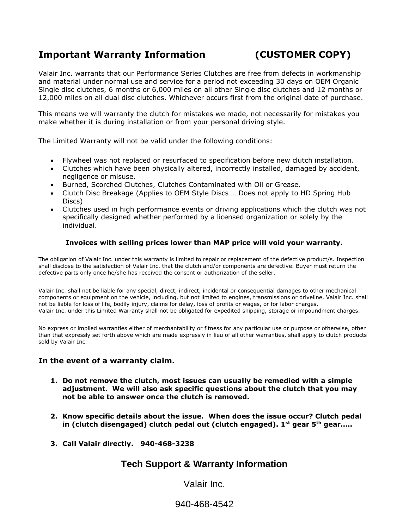#### **Important Warranty Information (CUSTOMER COPY)**

Valair Inc. warrants that our Performance Series Clutches are free from defects in workmanship and material under normal use and service for a period not exceeding 30 days on OEM Organic Single disc clutches, 6 months or 6,000 miles on all other Single disc clutches and 12 months or 12,000 miles on all dual disc clutches. Whichever occurs first from the original date of purchase.

This means we will warranty the clutch for mistakes we made, not necessarily for mistakes you make whether it is during installation or from your personal driving style.

The Limited Warranty will not be valid under the following conditions:

- Flywheel was not replaced or resurfaced to specification before new clutch installation.
- Clutches which have been physically altered, incorrectly installed, damaged by accident, negligence or misuse.
- Burned, Scorched Clutches, Clutches Contaminated with Oil or Grease.
- Clutch Disc Breakage (Applies to OEM Style Discs … Does not apply to HD Spring Hub Discs)
- Clutches used in high performance events or driving applications which the clutch was not specifically designed whether performed by a licensed organization or solely by the individual.

#### **Invoices with selling prices lower than MAP price will void your warranty.**

The obligation of Valair Inc. under this warranty is limited to repair or replacement of the defective product/s. Inspection shall disclose to the satisfaction of Valair Inc. that the clutch and/or components are defective. Buyer must return the defective parts only once he/she has received the consent or authorization of the seller.

Valair Inc. shall not be liable for any special, direct, indirect, incidental or consequential damages to other mechanical components or equipment on the vehicle, including, but not limited to engines, transmissions or driveline. Valair Inc. shall not be liable for loss of life, bodily injury, claims for delay, loss of profits or wages, or for labor charges. Valair Inc. under this Limited Warranty shall not be obligated for expedited shipping, storage or impoundment charges.

No express or implied warranties either of merchantability or fitness for any particular use or purpose or otherwise, other than that expressly set forth above which are made expressly in lieu of all other warranties, shall apply to clutch products sold by Valair Inc.

#### **In the event of a warranty claim.**

- **1. Do not remove the clutch, most issues can usually be remedied with a simple adjustment. We will also ask specific questions about the clutch that you may not be able to answer once the clutch is removed.**
- **2. Know specific details about the issue. When does the issue occur? Clutch pedal in (clutch disengaged) clutch pedal out (clutch engaged). 1st gear 5th gear…..**
- **3. Call Valair directly. 940-468-3238**

#### **Tech Support & Warranty Information**

Valair Inc.

940-468-4542